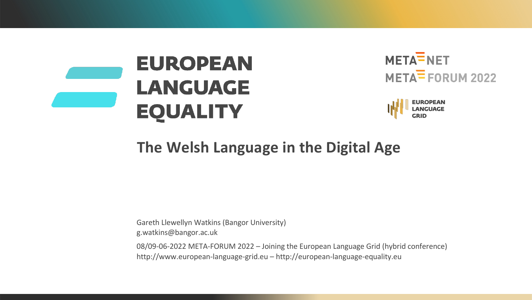





## **The Welsh Language in the Digital Age**

Gareth Llewellyn Watkins (Bangor University) g.watkins@bangor.ac.uk

08/09-06-2022 META-FORUM 2022 – Joining the European Language Grid (hybrid conference) http://www.european-language-grid.eu – http://european-language-equality.eu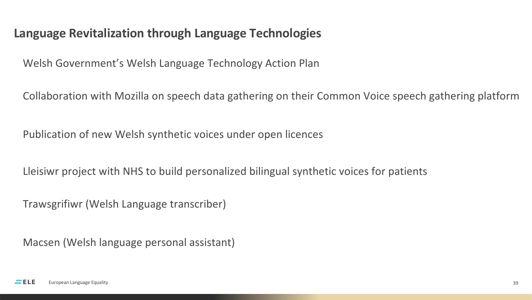#### **Language Revitalization through Language Technologies**

Welsh Government's Welsh Language Technology Action Plan

Collaboration with Mozilla on speech data gathering on their Common Voice speech gathering platform

Publication of new Welsh synthetic voices under open licences

Lleisiwr project with NHS to build personalized bilingual synthetic voices for patients

Trawsgrifiwr (Welsh Language transcriber)

Macsen (Welsh language personal assistant)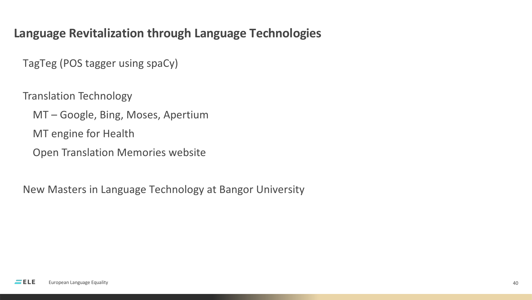### **Language Revitalization through Language Technologies**

TagTeg (POS tagger using spaCy)

Translation Technology

MT – Google, Bing, Moses, Apertium

MT engine for Health

Open Translation Memories website

New Masters in Language Technology at Bangor University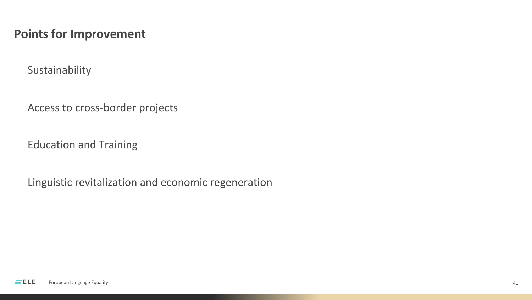#### **Points for Improvement**

Sustainability

Access to cross-border projects

Education and Training

Linguistic revitalization and economic regeneration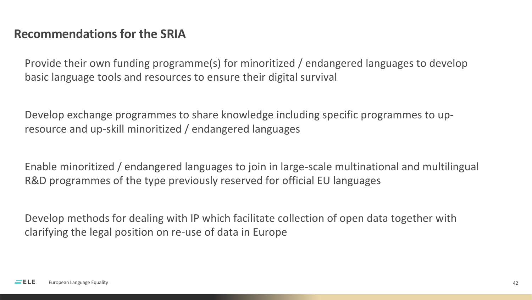#### **Recommendations for the SRIA**

Provide their own funding programme(s) for minoritized / endangered languages to develop basic language tools and resources to ensure their digital survival

Develop exchange programmes to share knowledge including specific programmes to upresource and up-skill minoritized / endangered languages

Enable minoritized / endangered languages to join in large-scale multinational and multilingual R&D programmes of the type previously reserved for official EU languages

Develop methods for dealing with IP which facilitate collection of open data together with clarifying the legal position on re-use of data in Europe